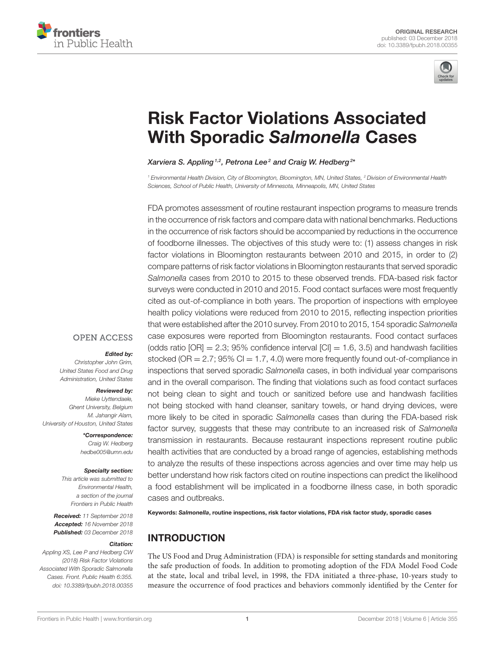



# [Risk Factor Violations Associated](https://www.frontiersin.org/articles/10.3389/fpubh.2018.00355/full) With Sporadic Salmonella Cases

#### [Xarviera S. Appling](http://loop.frontiersin.org/people/612823/overview)  $1,2$ , [Petrona Lee](http://loop.frontiersin.org/people/636162/overview)  $^2$  and [Craig W. Hedberg](http://loop.frontiersin.org/people/528566/overview)  $^{2*}$

*<sup>1</sup> Environmental Health Division, City of Bloomington, Bloomington, MN, United States, <sup>2</sup> Division of Environmental Health Sciences, School of Public Health, University of Minnesota, Minneapolis, MN, United States*

FDA promotes assessment of routine restaurant inspection programs to measure trends in the occurrence of risk factors and compare data with national benchmarks. Reductions in the occurrence of risk factors should be accompanied by reductions in the occurrence of foodborne illnesses. The objectives of this study were to: (1) assess changes in risk factor violations in Bloomington restaurants between 2010 and 2015, in order to (2) compare patterns of risk factor violations in Bloomington restaurants that served sporadic *Salmonella* cases from 2010 to 2015 to these observed trends. FDA-based risk factor surveys were conducted in 2010 and 2015. Food contact surfaces were most frequently cited as out-of-compliance in both years. The proportion of inspections with employee health policy violations were reduced from 2010 to 2015, reflecting inspection priorities that were established after the 2010 survey. From 2010 to 2015, 154 sporadic *Salmonella* case exposures were reported from Bloomington restaurants. Food contact surfaces (odds ratio  $[OR] = 2.3$ ; 95% confidence interval  $[CI] = 1.6, 3.5$ ) and handwash facilities stocked (OR  $= 2.7$ ; 95% CI  $= 1.7$ , 4.0) were more frequently found out-of-compliance in inspections that served sporadic *Salmonella* cases, in both individual year comparisons and in the overall comparison. The finding that violations such as food contact surfaces not being clean to sight and touch or sanitized before use and handwash facilities not being stocked with hand cleanser, sanitary towels, or hand drying devices, were more likely to be cited in sporadic *Salmonella* cases than during the FDA-based risk factor survey, suggests that these may contribute to an increased risk of *Salmonella* transmission in restaurants. Because restaurant inspections represent routine public health activities that are conducted by a broad range of agencies, establishing methods to analyze the results of these inspections across agencies and over time may help us better understand how risk factors cited on routine inspections can predict the likelihood a food establishment will be implicated in a foodborne illness case, in both sporadic cases and outbreaks.

Keywords: Salmonella, routine inspections, risk factor violations, FDA risk factor study, sporadic cases

# INTRODUCTION

The US Food and Drug Administration (FDA) is responsible for setting standards and monitoring the safe production of foods. In addition to promoting adoption of the FDA Model Food Code at the state, local and tribal level, in 1998, the FDA initiated a three-phase, 10-years study to measure the occurrence of food practices and behaviors commonly identified by the Center for

# **OPEN ACCESS**

#### Edited by:

*Christopher John Grim, United States Food and Drug Administration, United States*

#### Reviewed by:

*Mieke Uyttendaele, Ghent University, Belgium M. Jahangir Alam, University of Houston, United States*

> \*Correspondence: *Craig W. Hedberg [hedbe005@umn.edu](mailto:hedbe005@umn.edu)*

#### Specialty section:

*This article was submitted to Environmental Health, a section of the journal Frontiers in Public Health*

Received: *11 September 2018* Accepted: *16 November 2018* Published: *03 December 2018*

#### Citation:

*Appling XS, Lee P and Hedberg CW (2018) Risk Factor Violations Associated With Sporadic Salmonella Cases. Front. Public Health 6:355. doi: [10.3389/fpubh.2018.00355](https://doi.org/10.3389/fpubh.2018.00355)*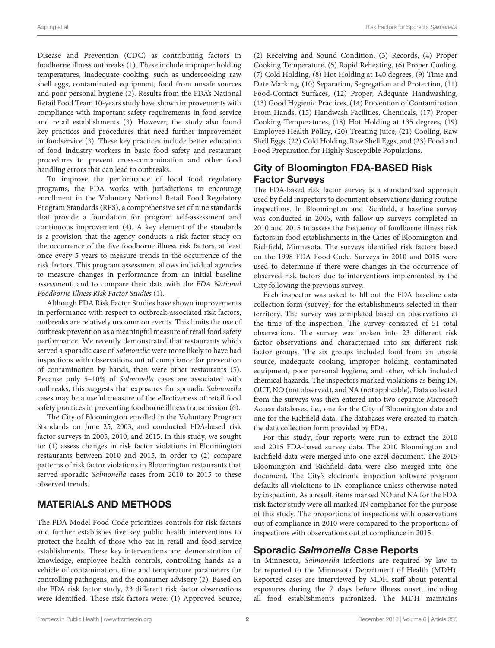Disease and Prevention (CDC) as contributing factors in foodborne illness outbreaks [\(1\)](#page-5-0). These include improper holding temperatures, inadequate cooking, such as undercooking raw shell eggs, contaminated equipment, food from unsafe sources and poor personal hygiene [\(2\)](#page-5-1). Results from the FDA's National Retail Food Team 10-years study have shown improvements with compliance with important safety requirements in food service and retail establishments [\(3\)](#page-5-2). However, the study also found key practices and procedures that need further improvement in foodservice [\(3\)](#page-5-2). These key practices include better education of food industry workers in basic food safety and restaurant procedures to prevent cross-contamination and other food handling errors that can lead to outbreaks.

To improve the performance of local food regulatory programs, the FDA works with jurisdictions to encourage enrollment in the Voluntary National Retail Food Regulatory Program Standards (RPS), a comprehensive set of nine standards that provide a foundation for program self-assessment and continuous improvement [\(4\)](#page-5-3). A key element of the standards is a provision that the agency conducts a risk factor study on the occurrence of the five foodborne illness risk factors, at least once every 5 years to measure trends in the occurrence of the risk factors. This program assessment allows individual agencies to measure changes in performance from an initial baseline assessment, and to compare their data with the FDA National Foodborne Illness Risk Factor Studies [\(1\)](#page-5-0).

Although FDA Risk Factor Studies have shown improvements in performance with respect to outbreak-associated risk factors, outbreaks are relatively uncommon events. This limits the use of outbreak prevention as a meaningful measure of retail food safety performance. We recently demonstrated that restaurants which served a sporadic case of Salmonella were more likely to have had inspections with observations out of compliance for prevention of contamination by hands, than were other restaurants [\(5\)](#page-5-4). Because only 5–10% of Salmonella cases are associated with outbreaks, this suggests that exposures for sporadic Salmonella cases may be a useful measure of the effectiveness of retail food safety practices in preventing foodborne illness transmission [\(6\)](#page-6-0).

The City of Bloomington enrolled in the Voluntary Program Standards on June 25, 2003, and conducted FDA-based risk factor surveys in 2005, 2010, and 2015. In this study, we sought to: (1) assess changes in risk factor violations in Bloomington restaurants between 2010 and 2015, in order to (2) compare patterns of risk factor violations in Bloomington restaurants that served sporadic Salmonella cases from 2010 to 2015 to these observed trends.

# MATERIALS AND METHODS

The FDA Model Food Code prioritizes controls for risk factors and further establishes five key public health interventions to protect the health of those who eat in retail and food service establishments. These key interventions are: demonstration of knowledge, employee health controls, controlling hands as a vehicle of contamination, time and temperature parameters for controlling pathogens, and the consumer advisory [\(2\)](#page-5-1). Based on the FDA risk factor study, 23 different risk factor observations were identified. These risk factors were: (1) Approved Source, (2) Receiving and Sound Condition, (3) Records, (4) Proper Cooking Temperature, (5) Rapid Reheating, (6) Proper Cooling, (7) Cold Holding, (8) Hot Holding at 140 degrees, (9) Time and Date Marking, (10) Separation, Segregation and Protection, (11) Food-Contact Surfaces, (12) Proper, Adequate Handwashing, (13) Good Hygienic Practices, (14) Prevention of Contamination From Hands, (15) Handwash Facilities, Chemicals, (17) Proper Cooking Temperatures, (18) Hot Holding at 135 degrees, (19) Employee Health Policy, (20) Treating Juice, (21) Cooling, Raw Shell Eggs, (22) Cold Holding, Raw Shell Eggs, and (23) Food and Food Preparation for Highly Susceptible Populations.

# City of Bloomington FDA-BASED Risk Factor Surveys

The FDA-based risk factor survey is a standardized approach used by field inspectors to document observations during routine inspections. In Bloomington and Richfield, a baseline survey was conducted in 2005, with follow-up surveys completed in 2010 and 2015 to assess the frequency of foodborne illness risk factors in food establishments in the Cities of Bloomington and Richfield, Minnesota. The surveys identified risk factors based on the 1998 FDA Food Code. Surveys in 2010 and 2015 were used to determine if there were changes in the occurrence of observed risk factors due to interventions implemented by the City following the previous survey.

Each inspector was asked to fill out the FDA baseline data collection form (survey) for the establishments selected in their territory. The survey was completed based on observations at the time of the inspection. The survey consisted of 51 total observations. The survey was broken into 23 different risk factor observations and characterized into six different risk factor groups. The six groups included food from an unsafe source, inadequate cooking, improper holding, contaminated equipment, poor personal hygiene, and other, which included chemical hazards. The inspectors marked violations as being IN, OUT, NO (not observed), and NA (not applicable). Data collected from the surveys was then entered into two separate Microsoft Access databases, i.e., one for the City of Bloomington data and one for the Richfield data. The databases were created to match the data collection form provided by FDA.

For this study, four reports were run to extract the 2010 and 2015 FDA-based survey data. The 2010 Bloomington and Richfield data were merged into one excel document. The 2015 Bloomington and Richfield data were also merged into one document. The City's electronic inspection software program defaults all violations to IN compliance unless otherwise noted by inspection. As a result, items marked NO and NA for the FDA risk factor study were all marked IN compliance for the purpose of this study. The proportions of inspections with observations out of compliance in 2010 were compared to the proportions of inspections with observations out of compliance in 2015.

## Sporadic Salmonella Case Reports

In Minnesota, Salmonella infections are required by law to be reported to the Minnesota Department of Health (MDH). Reported cases are interviewed by MDH staff about potential exposures during the 7 days before illness onset, including all food establishments patronized. The MDH maintains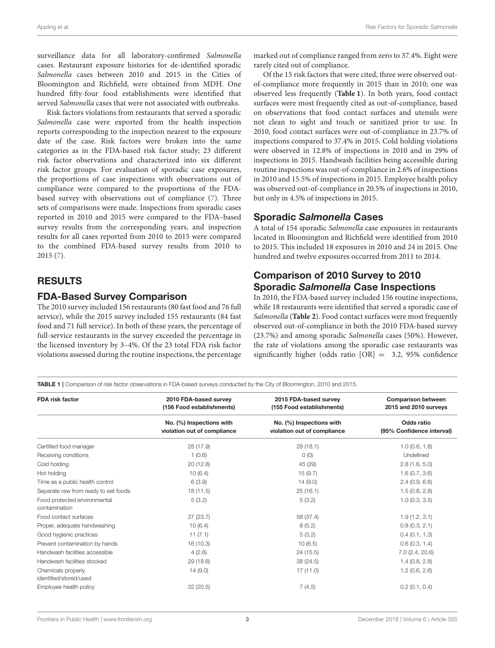surveillance data for all laboratory-confirmed Salmonella cases. Restaurant exposure histories for de-identified sporadic Salmonella cases between 2010 and 2015 in the Cities of Bloomington and Richfield, were obtained from MDH. One hundred fifty-four food establishments were identified that served Salmonella cases that were not associated with outbreaks.

Risk factors violations from restaurants that served a sporadic Salmonella case were exported from the health inspection reports corresponding to the inspection nearest to the exposure date of the case. Risk factors were broken into the same categories as in the FDA-based risk factor study; 23 different risk factor observations and characterized into six different risk factor groups. For evaluation of sporadic case exposures, the proportions of case inspections with observations out of compliance were compared to the proportions of the FDAbased survey with observations out of compliance [\(7\)](#page-6-1). Three sets of comparisons were made. Inspections from sporadic cases reported in 2010 and 2015 were compared to the FDA–based survey results from the corresponding years, and inspection results for all cases reported from 2010 to 2015 were compared to the combined FDA-based survey results from 2010 to 2015 [\(7\)](#page-6-1).

## RESULTS

## FDA-Based Survey Comparison

The 2010 survey included 156 restaurants (80 fast food and 76 full service), while the 2015 survey included 155 restaurants (84 fast food and 71 full service). In both of these years, the percentage of full-service restaurants in the survey exceeded the percentage in the licensed inventory by 3–4%. Of the 23 total FDA risk factor violations assessed during the routine inspections, the percentage marked out of compliance ranged from zero to 37.4%. Eight were rarely cited out of compliance.

Of the 15 risk factors that were cited, three were observed outof-compliance more frequently in 2015 than in 2010; one was observed less frequently (**[Table 1](#page-2-0)**). In both years, food contact surfaces were most frequently cited as out-of-compliance, based on observations that food contact surfaces and utensils were not clean to sight and touch or sanitized prior to use. In 2010, food contact surfaces were out-of-compliance in 23.7% of inspections compared to 37.4% in 2015. Cold holding violations were observed in 12.8% of inspections in 2010 and in 29% of inspections in 2015. Handwash facilities being accessible during routine inspections was out-of-compliance in 2.6% of inspections in 2010 and 15.5% of inspections in 2015. Employee health policy was observed out-of-compliance in 20.5% of inspections in 2010, but only in 4.5% of inspections in 2015.

## Sporadic Salmonella Cases

A total of 154 sporadic Salmonella case exposures in restaurants located in Bloomington and Richfield were identified from 2010 to 2015. This included 18 exposures in 2010 and 24 in 2015. One hundred and twelve exposures occurred from 2011 to 2014.

## Comparison of 2010 Survey to 2010 Sporadic Salmonella Case Inspections

In 2010, the FDA-based survey included 156 routine inspections, while 18 restaurants were identified that served a sporadic case of Salmonella (**[Table 2](#page-3-0)**). Food contact surfaces were most frequently observed out-of-compliance in both the 2010 FDA-based survey (23.7%) and among sporadic Salmonella cases (50%). However, the rate of violations among the sporadic case restaurants was significantly higher (odds ratio  $[OR] = 3.2$ , 95% confidence

<span id="page-2-0"></span>TABLE 1 | Comparison of risk factor observations in FDA-based surveys conducted by the City of Bloomington, 2010 and 2015.

| <b>FDA risk factor</b>                        | 2010 FDA-based survey<br>(156 Food establishments)      | 2015 FDA-based survey<br>(155 Food establishments)      | <b>Comparison between</b><br>2015 and 2010 surveys |
|-----------------------------------------------|---------------------------------------------------------|---------------------------------------------------------|----------------------------------------------------|
|                                               | No. (%) Inspections with<br>violation out of compliance | No. (%) Inspections with<br>violation out of compliance | Odds ratio<br>(95% Confidence interval)            |
| Certified food manager                        | 28 (17.9)                                               | 28(18.1)                                                | 1.0(0.6, 1.8)                                      |
| Receiving conditions                          | 1(0.6)                                                  | O(0)                                                    | Undefined                                          |
| Cold holding                                  | 20(12.8)                                                | 45 (29)                                                 | 2.8(1.6, 5.0)                                      |
| Hot holding                                   | 10(6.4)                                                 | 15(9.7)                                                 | 1.6(0.7, 3.6)                                      |
| Time as a public health control               | 6(3.9)                                                  | 14(9.0)                                                 | 2.4(0.9, 6.6)                                      |
| Separate raw from ready to eat foods          | 18 (11.5)                                               | 25(16.1)                                                | 1.5(0.8, 2.8)                                      |
| Food protected environmental<br>contamination | 5(3.2)                                                  | 5(3.2)                                                  | 1.0(0.3, 3.5)                                      |
| Food contact surfaces                         | 37(23.7)                                                | 58 (37.4)                                               | 1.9(1.2, 3.1)                                      |
| Proper, adequate handwashing                  | 10(6.4)                                                 | 8(5.2)                                                  | 0.8(0.3, 2.1)                                      |
| Good hygienic practices                       | 11(7.1)                                                 | 5(3.2)                                                  | 0.4(0.1, 1.3)                                      |
| Prevent contamination by hands                | 16 (10.3)                                               | 10(6.5)                                                 | 0.6(0.3, 1.4)                                      |
| Handwash facilities accessible                | 4(2.6)                                                  | 24 (15.5)                                               | 7.0(2.4, 20.6)                                     |
| Handwash facilities stocked                   | 29 (18.6)                                               | 38 (24.5)                                               | 1.4(0.8, 2.8)                                      |
| Chemicals properly                            | 14(9.0)                                                 | 17 (11.0)                                               | 1.2(0.6, 2.6)                                      |
| identified/stored/used                        |                                                         |                                                         |                                                    |
| Employee health policy                        | 32(20.5)                                                | 7(4.5)                                                  | 0.2(0.1, 0.4)                                      |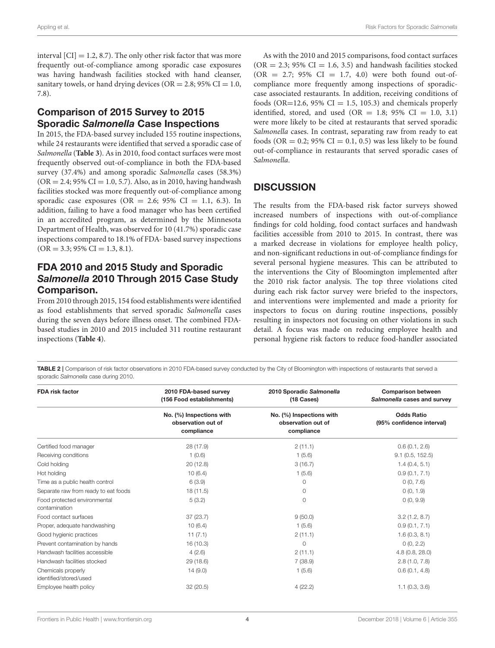interval  $\text{[CI]} = 1.2, 8.7$ . The only other risk factor that was more frequently out-of-compliance among sporadic case exposures was having handwash facilities stocked with hand cleanser, sanitary towels, or hand drying devices ( $OR = 2.8$ ; 95%  $CI = 1.0$ , 7.8).

## Comparison of 2015 Survey to 2015 Sporadic Salmonella Case Inspections

In 2015, the FDA-based survey included 155 routine inspections, while 24 restaurants were identified that served a sporadic case of Salmonella (**[Table 3](#page-4-0)**). As in 2010, food contact surfaces were most frequently observed out-of-compliance in both the FDA-based survey (37.4%) and among sporadic Salmonella cases (58.3%)  $(OR = 2.4; 95\% CI = 1.0, 5.7)$ . Also, as in 2010, having handwash facilities stocked was more frequently out-of-compliance among sporadic case exposures (OR = 2.6; 95% CI = 1.1, 6.3). In addition, failing to have a food manager who has been certified in an accredited program, as determined by the Minnesota Department of Health, was observed for 10 (41.7%) sporadic case inspections compared to 18.1% of FDA- based survey inspections  $(OR = 3.3; 95\% CI = 1.3, 8.1).$ 

## FDA 2010 and 2015 Study and Sporadic Salmonella 2010 Through 2015 Case Study Comparison.

From 2010 through 2015, 154 food establishments were identified as food establishments that served sporadic Salmonella cases during the seven days before illness onset. The combined FDAbased studies in 2010 and 2015 included 311 routine restaurant inspections (**[Table 4](#page-5-5)**).

As with the 2010 and 2015 comparisons, food contact surfaces  $(OR = 2.3; 95\% CI = 1.6, 3.5)$  and handwash facilities stocked  $(OR = 2.7; 95\% \text{ CI} = 1.7, 4.0)$  were both found out-ofcompliance more frequently among inspections of sporadiccase associated restaurants. In addition, receiving conditions of foods (OR=12.6, 95% CI = 1.5, 105.3) and chemicals properly identified, stored, and used (OR = 1.8; 95% CI = 1.0, 3.1) were more likely to be cited at restaurants that served sporadic Salmonella cases. In contrast, separating raw from ready to eat foods (OR = 0.2; 95% CI = 0.1, 0.5) was less likely to be found out-of-compliance in restaurants that served sporadic cases of Salmonella.

# **DISCUSSION**

The results from the FDA-based risk factor surveys showed increased numbers of inspections with out-of-compliance findings for cold holding, food contact surfaces and handwash facilities accessible from 2010 to 2015. In contrast, there was a marked decrease in violations for employee health policy, and non-significant reductions in out-of-compliance findings for several personal hygiene measures. This can be attributed to the interventions the City of Bloomington implemented after the 2010 risk factor analysis. The top three violations cited during each risk factor survey were briefed to the inspectors, and interventions were implemented and made a priority for inspectors to focus on during routine inspections, possibly resulting in inspectors not focusing on other violations in such detail. A focus was made on reducing employee health and personal hygiene risk factors to reduce food-handler associated

<span id="page-3-0"></span>TABLE 2 | Comparison of risk factor observations in 2010 FDA-based survey conducted by the City of Bloomington with inspections of restaurants that served a sporadic *Salmonella* case during 2010.

| <b>FDA risk factor</b>                        | 2010 FDA-based survey<br>(156 Food establishments)           | 2010 Sporadic Salmonella<br>(18 Cases)                       | <b>Comparison between</b><br>Salmonella cases and survey |
|-----------------------------------------------|--------------------------------------------------------------|--------------------------------------------------------------|----------------------------------------------------------|
|                                               | No. (%) Inspections with<br>observation out of<br>compliance | No. (%) Inspections with<br>observation out of<br>compliance | <b>Odds Ratio</b><br>(95% confidence interval)           |
| Certified food manager                        | 28 (17.9)                                                    | 2(11.1)                                                      | 0.6(0.1, 2.6)                                            |
| Receiving conditions                          | 1(0.6)                                                       | 1(5.6)                                                       | $9.1$ (0.5, 152.5)                                       |
| Cold holding                                  | 20(12.8)                                                     | 3(16.7)                                                      | 1.4(0.4, 5.1)                                            |
| Hot holding                                   | 10(6.4)                                                      | 1(5.6)                                                       | 0.9(0.1, 7.1)                                            |
| Time as a public health control               | 6(3.9)                                                       | $\circ$                                                      | 0(0, 7.6)                                                |
| Separate raw from ready to eat foods          | 18(11.5)                                                     | $\circ$                                                      | 0(0, 1.9)                                                |
| Food protected environmental<br>contamination | 5(3.2)                                                       | $\Omega$                                                     | 0(0, 9.9)                                                |
| Food contact surfaces                         | 37 (23.7)                                                    | 9(50.0)                                                      | 3.2(1.2, 8.7)                                            |
| Proper, adequate handwashing                  | 10(6.4)                                                      | 1(5.6)                                                       | 0.9(0.1, 7.1)                                            |
| Good hygienic practices                       | 11(7.1)                                                      | 2(11.1)                                                      | 1.6(0.3, 8.1)                                            |
| Prevent contamination by hands                | 16(10.3)                                                     | $\Omega$                                                     | 0(0, 2.2)                                                |
| Handwash facilities accessible                | 4(2.6)                                                       | 2(11.1)                                                      | 4.8(0.8, 28.0)                                           |
| Handwash facilities stocked                   | 29 (18.6)                                                    | 7(38.9)                                                      | 2.8(1.0, 7.8)                                            |
| Chemicals properly                            | 14(9.0)                                                      | 1(5.6)                                                       | 0.6(0.1, 4.8)                                            |
| identified/stored/used                        |                                                              |                                                              |                                                          |
| Employee health policy                        | 32 (20.5)                                                    | 4(22.2)                                                      | 1.1(0.3, 3.6)                                            |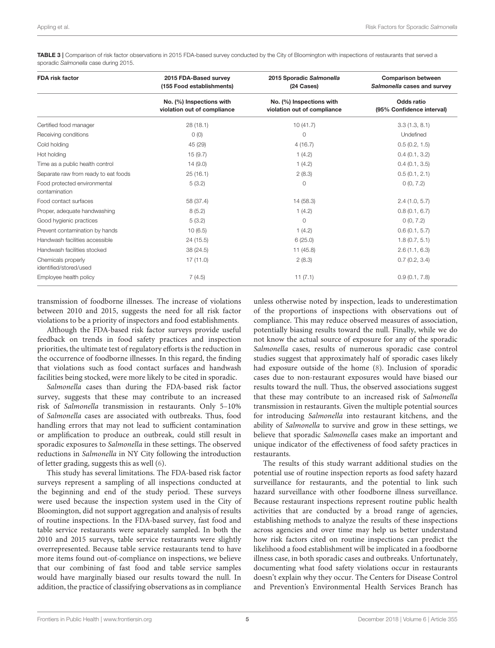<span id="page-4-0"></span>TABLE 3 | Comparison of risk factor observations in 2015 FDA-based survey conducted by the City of Bloomington with inspections of restaurants that served a sporadic *Salmonella* case during 2015.

| <b>FDA risk factor</b>                        | 2015 FDA-Based survey<br>(155 Food establishments)      | 2015 Sporadic Salmonella<br>(24 Cases)                  | <b>Comparison between</b><br>Salmonella cases and survey |
|-----------------------------------------------|---------------------------------------------------------|---------------------------------------------------------|----------------------------------------------------------|
|                                               | No. (%) Inspections with<br>violation out of compliance | No. (%) Inspections with<br>violation out of compliance | Odds ratio<br>(95% Confidence interval)                  |
| Certified food manager                        | 28 (18.1)                                               | 10(41.7)                                                | 3.3(1.3, 8.1)                                            |
| Receiving conditions                          | O(0)                                                    | 0                                                       | Undefined                                                |
| Cold holding                                  | 45 (29)                                                 | 4(16.7)                                                 | 0.5(0.2, 1.5)                                            |
| Hot holding                                   | 15(9.7)                                                 | 1(4.2)                                                  | 0.4(0.1, 3.2)                                            |
| Time as a public health control               | 14(9.0)                                                 | 1(4.2)                                                  | 0.4(0.1, 3.5)                                            |
| Separate raw from ready to eat foods          | 25(16.1)                                                | 2(8.3)                                                  | 0.5(0.1, 2.1)                                            |
| Food protected environmental<br>contamination | 5(3.2)                                                  | $\Omega$                                                | 0(0, 7.2)                                                |
| Food contact surfaces                         | 58 (37.4)                                               | 14 (58.3)                                               | 2.4(1.0, 5.7)                                            |
| Proper, adequate handwashing                  | 8(5.2)                                                  | 1(4.2)                                                  | 0.8(0.1, 6.7)                                            |
| Good hygienic practices                       | 5(3.2)                                                  | 0                                                       | 0(0, 7.2)                                                |
| Prevent contamination by hands                | 10(6.5)                                                 | 1(4.2)                                                  | 0.6(0.1, 5.7)                                            |
| Handwash facilities accessible                | 24 (15.5)                                               | 6(25.0)                                                 | 1.8(0.7, 5.1)                                            |
| Handwash facilities stocked                   | 38 (24.5)                                               | 11(45.8)                                                | 2.6(1.1, 6.3)                                            |
| Chemicals properly<br>identified/stored/used  | 17(11.0)                                                | 2(8.3)                                                  | 0.7(0.2, 3.4)                                            |
| Employee health policy                        | 7(4.5)                                                  | 11(7.1)                                                 | 0.9(0.1, 7.8)                                            |

transmission of foodborne illnesses. The increase of violations between 2010 and 2015, suggests the need for all risk factor violations to be a priority of inspectors and food establishments.

Although the FDA-based risk factor surveys provide useful feedback on trends in food safety practices and inspection priorities, the ultimate test of regulatory efforts is the reduction in the occurrence of foodborne illnesses. In this regard, the finding that violations such as food contact surfaces and handwash facilities being stocked, were more likely to be cited in sporadic.

Salmonella cases than during the FDA-based risk factor survey, suggests that these may contribute to an increased risk of Salmonella transmission in restaurants. Only 5–10% of Salmonella cases are associated with outbreaks. Thus, food handling errors that may not lead to sufficient contamination or amplification to produce an outbreak, could still result in sporadic exposures to Salmonella in these settings. The observed reductions in Salmonella in NY City following the introduction of letter grading, suggests this as well [\(6\)](#page-6-0).

This study has several limitations. The FDA-based risk factor surveys represent a sampling of all inspections conducted at the beginning and end of the study period. These surveys were used because the inspection system used in the City of Bloomington, did not support aggregation and analysis of results of routine inspections. In the FDA-based survey, fast food and table service restaurants were separately sampled. In both the 2010 and 2015 surveys, table service restaurants were slightly overrepresented. Because table service restaurants tend to have more items found out-of-compliance on inspections, we believe that our combining of fast food and table service samples would have marginally biased our results toward the null. In addition, the practice of classifying observations as in compliance unless otherwise noted by inspection, leads to underestimation of the proportions of inspections with observations out of compliance. This may reduce observed measures of association, potentially biasing results toward the null. Finally, while we do not know the actual source of exposure for any of the sporadic Salmonella cases, results of numerous sporadic case control studies suggest that approximately half of sporadic cases likely had exposure outside of the home [\(8\)](#page-6-2). Inclusion of sporadic cases due to non-restaurant exposures would have biased our results toward the null. Thus, the observed associations suggest that these may contribute to an increased risk of Salmonella transmission in restaurants. Given the multiple potential sources for introducing Salmonella into restaurant kitchens, and the ability of Salmonella to survive and grow in these settings, we believe that sporadic Salmonella cases make an important and unique indicator of the effectiveness of food safety practices in restaurants.

The results of this study warrant additional studies on the potential use of routine inspection reports as food safety hazard surveillance for restaurants, and the potential to link such hazard surveillance with other foodborne illness surveillance. Because restaurant inspections represent routine public health activities that are conducted by a broad range of agencies, establishing methods to analyze the results of these inspections across agencies and over time may help us better understand how risk factors cited on routine inspections can predict the likelihood a food establishment will be implicated in a foodborne illness case, in both sporadic cases and outbreaks. Unfortunately, documenting what food safety violations occur in restaurants doesn't explain why they occur. The Centers for Disease Control and Prevention's Environmental Health Services Branch has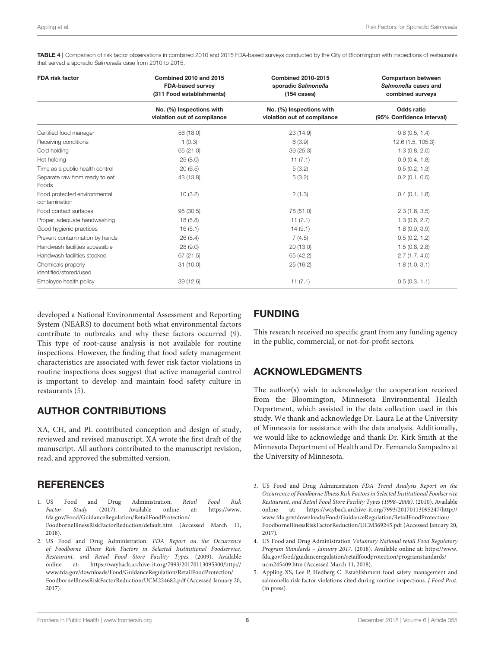<span id="page-5-5"></span>TABLE 4 | Comparison of risk factor observations in combined 2010 and 2015 FDA-based surveys conducted by the City of Bloomington with inspections of restaurants that served a sporadic *Salmonella* case from 2010 to 2015.

| <b>FDA risk factor</b>                        | Combined 2010 and 2015<br><b>FDA-based survey</b><br>(311 Food establishments) | <b>Combined 2010-2015</b><br>sporadic Salmonella<br>$(154 \text{ cases})$ | <b>Comparison between</b><br>Salmonella cases and<br>combined surveys |
|-----------------------------------------------|--------------------------------------------------------------------------------|---------------------------------------------------------------------------|-----------------------------------------------------------------------|
|                                               | No. (%) Inspections with<br>violation out of compliance                        | No. (%) Inspections with<br>violation out of compliance                   | Odds ratio<br>(95% Confidence interval)                               |
| Certified food manager                        | 56 (18.0)                                                                      | 23 (14.9)                                                                 | 0.8(0.5, 1.4)                                                         |
| Receiving conditions                          | 1(0.3)                                                                         | 6(3.9)                                                                    | 12.6 (1.5, 105.3)                                                     |
| Cold holding                                  | 65 (21.0)                                                                      | 39 (25.3)                                                                 | 1.3(0.8, 2.0)                                                         |
| Hot holding                                   | 25(8.0)                                                                        | 11(7.1)                                                                   | 0.9(0.4, 1.8)                                                         |
| Time as a public health control               | 20(6.5)                                                                        | 5(3.2)                                                                    | 0.5(0.2, 1.3)                                                         |
| Separate raw from ready to eat<br>Foods       | 43 (13.8)                                                                      | 5(3.2)                                                                    | 0.2(0.1, 0.5)                                                         |
| Food protected environmental<br>contamination | 10(3.2)                                                                        | 2(1.3)                                                                    | 0.4(0.1, 1.8)                                                         |
| Food contact surfaces                         | 95 (30.5)                                                                      | 78 (51.0)                                                                 | 2.3(1.6, 3.5)                                                         |
| Proper, adequate handwashing                  | 18(5.8)                                                                        | 11(7.1)                                                                   | 1.3(0.6, 2.7)                                                         |
| Good hygienic practices                       | 16(5.1)                                                                        | 14(9.1)                                                                   | 1.8(0.9, 3.9)                                                         |
| Prevent contamination by hands                | 26(8.4)                                                                        | 7(4.5)                                                                    | 0.5(0.2, 1.2)                                                         |
| Handwash facilities accessible                | 28(9.0)                                                                        | 20 (13.0)                                                                 | 1.5(0.8, 2.8)                                                         |
| Handwash facilities stocked                   | 67(21.5)                                                                       | 65 (42.2)                                                                 | 2.7(1.7, 4.0)                                                         |
| Chemicals properly<br>identified/stored/used  | 31(10.0)                                                                       | 25(16.2)                                                                  | 1.8(1.0, 3.1)                                                         |
| Employee health policy                        | 39(12.6)                                                                       | 11(7.1)                                                                   | 0.5(0.3, 1.1)                                                         |

developed a National Environmental Assessment and Reporting System (NEARS) to document both what environmental factors contribute to outbreaks and why these factors occurred [\(9\)](#page-6-3). This type of root-cause analysis is not available for routine inspections. However, the finding that food safety management characteristics are associated with fewer risk factor violations in routine inspections does suggest that active managerial control is important to develop and maintain food safety culture in restaurants [\(5\)](#page-5-4).

## AUTHOR CONTRIBUTIONS

XA, CH, and PL contributed conception and design of study, reviewed and revised manuscript. XA wrote the first draft of the manuscript. All authors contributed to the manuscript revision, read, and approved the submitted version.

## **REFERENCES**

- <span id="page-5-0"></span>1. US Food and Drug Administration. *Retail Food Risk*<br>Factor Study (2017). Available online at: https://www. Factor Study (2017). Available online at: [https://www.](https://www.fda.gov/Food/GuidanceRegulation/RetailFoodProtection/FoodborneIllnessRiskFactorReduction/default.htm) [fda.gov/Food/GuidanceRegulation/RetailFoodProtection/](https://www.fda.gov/Food/GuidanceRegulation/RetailFoodProtection/FoodborneIllnessRiskFactorReduction/default.htm) [FoodborneIllnessRiskFactorReduction/default.htm](https://www.fda.gov/Food/GuidanceRegulation/RetailFoodProtection/FoodborneIllnessRiskFactorReduction/default.htm) (Accessed March 11, 2018).
- <span id="page-5-1"></span>2. US Food and Drug Administration. FDA Report on the Occurrence of Foodborne Illness Risk Factors in Selected Institutional Foodservice, Restaurant, and Retail Food Store Facility Types. (2009). Available online at: [https://wayback.archive-it.org/7993/20170113095300/http://](https://wayback.archive-it.org/7993/20170113095300/http://www.fda.gov/downloads/Food/GuidanceRegulation/RetailFoodProtection/FoodborneIllnessRiskFactorReduction/UCM224682.pdf) [www.fda.gov/downloads/Food/GuidanceRegulation/RetailFoodProtection/](https://wayback.archive-it.org/7993/20170113095300/http://www.fda.gov/downloads/Food/GuidanceRegulation/RetailFoodProtection/FoodborneIllnessRiskFactorReduction/UCM224682.pdf) [FoodborneIllnessRiskFactorReduction/UCM224682.pdf](https://wayback.archive-it.org/7993/20170113095300/http://www.fda.gov/downloads/Food/GuidanceRegulation/RetailFoodProtection/FoodborneIllnessRiskFactorReduction/UCM224682.pdf) (Accessed January 20, 2017).

## FUNDING

This research received no specific grant from any funding agency in the public, commercial, or not-for-profit sectors.

# ACKNOWLEDGMENTS

The author(s) wish to acknowledge the cooperation received from the Bloomington, Minnesota Environmental Health Department, which assisted in the data collection used in this study. We thank and acknowledge Dr. Laura Le at the University of Minnesota for assistance with the data analysis. Additionally, we would like to acknowledge and thank Dr. Kirk Smith at the Minnesota Department of Health and Dr. Fernando Sampedro at the University of Minnesota.

- <span id="page-5-2"></span>3. US Food and Drug Administration FDA Trend Analysis Report on the Occurrence of Foodborne Illness Risk Factors in Selected Institutional Foodservice Restaurant, and Retail Food Store Facility Types (1998–2008). (2010). Available online at: [https://wayback.archive-it.org/7993/20170113095247/http://](https://wayback.archive-it.org/7993/20170113095247/http://www.fda.gov/downloads/Food/GuidanceRegulation/RetailFoodProtection/FoodborneIllnessRiskFactorReduction/UCM369245.pdf) [www.fda.gov/downloads/Food/GuidanceRegulation/RetailFoodProtection/](https://wayback.archive-it.org/7993/20170113095247/http://www.fda.gov/downloads/Food/GuidanceRegulation/RetailFoodProtection/FoodborneIllnessRiskFactorReduction/UCM369245.pdf) [FoodborneIllnessRiskFactorReduction/UCM369245.pdf](https://wayback.archive-it.org/7993/20170113095247/http://www.fda.gov/downloads/Food/GuidanceRegulation/RetailFoodProtection/FoodborneIllnessRiskFactorReduction/UCM369245.pdf) (Accessed January 20, 2017).
- <span id="page-5-3"></span>4. US Food and Drug Administration Voluntary National retail Food Regulatory Program Standards – January 2017. (2018). Available online at: [https://www.](https://www.fda.gov/food/guidanceregulation/retailfoodprotection/programstandards/ucm245409.htm) [fda.gov/food/guidanceregulation/retailfoodprotection/programstandards/](https://www.fda.gov/food/guidanceregulation/retailfoodprotection/programstandards/ucm245409.htm) [ucm245409.htm](https://www.fda.gov/food/guidanceregulation/retailfoodprotection/programstandards/ucm245409.htm) (Accessed March 11, 2018).
- <span id="page-5-4"></span>5. Appling XS, Lee P, Hedberg C. Establishment food safety management and salmonella risk factor violations cited during routine inspections. J Food Prot. (in press).